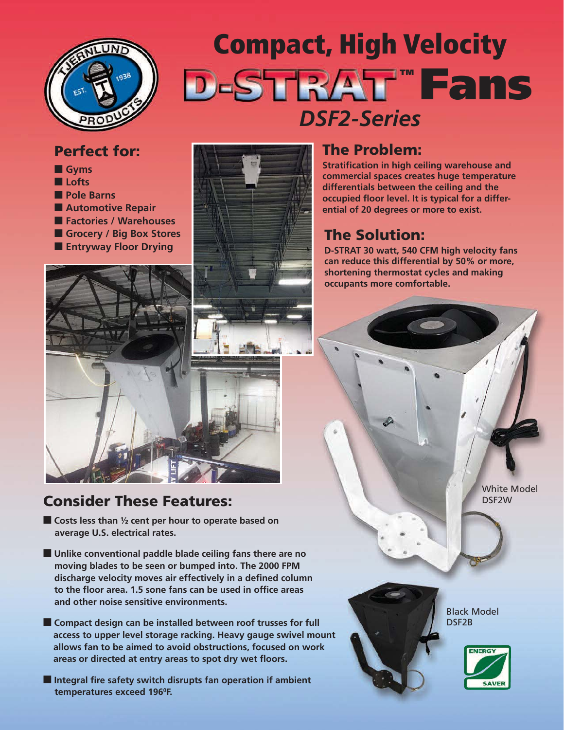

# **Compact, High Velocity D-STRAT Fans** *DSF2-Series*

#### **Perfect for:**

- **Gyms**
- **Lofts**
- **Pole Barns**
- **Automotive Repair**
- **Factories / Warehouses**
- **Grocery / Big Box Stores**



#### **Consider These Features:**

- **Costs less than ½ cent per hour to operate based on average U.S. electrical rates.**
- Unlike conventional paddle blade ceiling fans there are no **moving blades to be seen or bumped into. The 2000 FPM discharge velocity moves air effectively in a defined column to the floor area. 1.5 sone fans can be used in office areas and other noise sensitive environments.**
- **Compact design can be installed between roof trusses for full access to upper level storage racking. Heavy gauge swivel mount allows fan to be aimed to avoid obstructions, focused on work areas or directed at entry areas to spot dry wet floors.**
- Integral fire safety switch disrupts fan operation if ambient **temperatures exceed 1960F.**

#### **The Problem:**

**Stratification in high ceiling warehouse and commercial spaces creates huge temperature differentials between the ceiling and the occupied floor level. It is typical for a differential of 20 degrees or more to exist.**

#### **The Solution:**

**D-STRAT 30 watt, 540 CFM high velocity fans can reduce this differential by 50% or more, shortening thermostat cycles and making occupants more comfortable.**

> White Model DSF2W